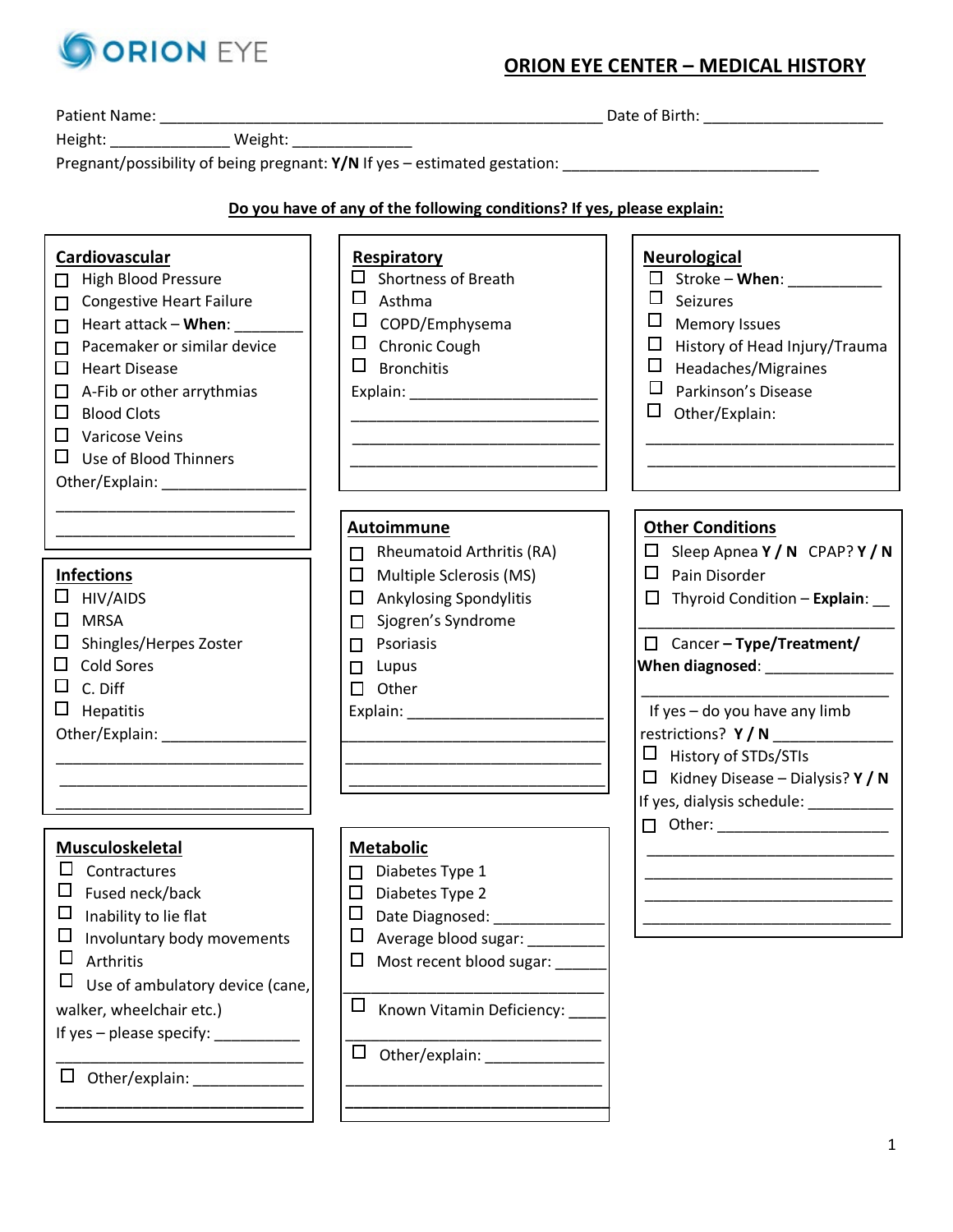

# **ORION EYE CENTER – MEDICAL HISTORY**

|                                                                                                                                                                                                                                                                                                                                                   | Pregnant/possibility of being pregnant: Y/N If yes - estimated gestation:                                                                                                                                                                                                                                                                                                                                                                        |                                                                                                                                                                                                                                                                                                                                                                                                       |
|---------------------------------------------------------------------------------------------------------------------------------------------------------------------------------------------------------------------------------------------------------------------------------------------------------------------------------------------------|--------------------------------------------------------------------------------------------------------------------------------------------------------------------------------------------------------------------------------------------------------------------------------------------------------------------------------------------------------------------------------------------------------------------------------------------------|-------------------------------------------------------------------------------------------------------------------------------------------------------------------------------------------------------------------------------------------------------------------------------------------------------------------------------------------------------------------------------------------------------|
|                                                                                                                                                                                                                                                                                                                                                   |                                                                                                                                                                                                                                                                                                                                                                                                                                                  |                                                                                                                                                                                                                                                                                                                                                                                                       |
|                                                                                                                                                                                                                                                                                                                                                   | Do you have of any of the following conditions? If yes, please explain:                                                                                                                                                                                                                                                                                                                                                                          |                                                                                                                                                                                                                                                                                                                                                                                                       |
| Cardiovascular<br><b>High Blood Pressure</b><br>П<br><b>Congestive Heart Failure</b><br>П<br>Heart attack - When:<br>П<br>Pacemaker or similar device<br>П<br>□<br><b>Heart Disease</b><br>A-Fib or other arrythmias<br>□<br><b>Blood Clots</b><br>ப<br>□<br>Varicose Veins<br>$\Box$<br>Use of Blood Thinners<br>Other/Explain: ________________ | <b>Respiratory</b><br><b>Shortness of Breath</b><br>□<br>Asthma<br>ப<br>COPD/Emphysema<br>$\Box$<br>Chronic Cough<br>□<br><b>Bronchitis</b>                                                                                                                                                                                                                                                                                                      | <b>Neurological</b><br>$\Box$ Stroke – When: ___________<br>$\Box$<br>Seizures<br>⊔<br><b>Memory Issues</b><br>Ц<br>History of Head Injury/Trauma<br>Ц<br>Headaches/Migraines<br>$\Box$<br>Parkinson's Disease<br>□<br>Other/Explain:                                                                                                                                                                 |
| <b>Infections</b><br>HIV/AIDS<br><b>MRSA</b><br>$\Box$<br>□<br>Shingles/Herpes Zoster<br><b>Cold Sores</b><br>□<br>C. Diff<br>$\Box$<br>Hepatitis<br>Other/Explain: ______________                                                                                                                                                                | Autoimmune<br>Rheumatoid Arthritis (RA)<br>$\Box$<br>Multiple Sclerosis (MS)<br>$\Box$<br><b>Ankylosing Spondylitis</b><br>$\Box$<br>Sjogren's Syndrome<br>П<br>Psoriasis<br>П<br>Lupus<br>□<br>$\Box$<br>Other<br>Explain: North Management of the Second Second Second Second Second Second Second Second Second Second Second Second Second Second Second Second Second Second Second Second Second Second Second Second Second Second Second | <b>Other Conditions</b><br>$\Box$ Sleep Apnea Y / N CPAP? Y / N<br>$\Box$<br>Pain Disorder<br>Thyroid Condition - Explain:<br>$\Box$<br>$\Box$ Cancer - Type/Treatment/<br>When diagnosed: _________________<br>If yes - do you have any limb<br>restrictions? $Y/N$ ____________<br>$\Box$ History of STDs/STIs<br>$\Box$ Kidney Disease – Dialysis? Y / N<br>If yes, dialysis schedule: ___________ |
| Musculoskeletal<br>Contractures<br>Fused neck/back<br>ப<br>Inability to lie flat<br>Ц<br>Involuntary body movements<br>$\Box$<br>Arthritis<br>⊔<br>Use of ambulatory device (cane,<br>walker, wheelchair etc.)<br>If yes $-$ please specify: $\sqrt{2}$<br>Other/explain:<br>ப                                                                    | <b>Metabolic</b><br>Diabetes Type 1<br>Diabetes Type 2<br>□<br>□<br>Date Diagnosed:<br>Ц<br>Average blood sugar:<br>Most recent blood sugar: ____<br>□<br>⊔<br>Known Vitamin Deficiency:<br>$\Box$<br>Other/explain:                                                                                                                                                                                                                             | $\Box$ Other: ______________________                                                                                                                                                                                                                                                                                                                                                                  |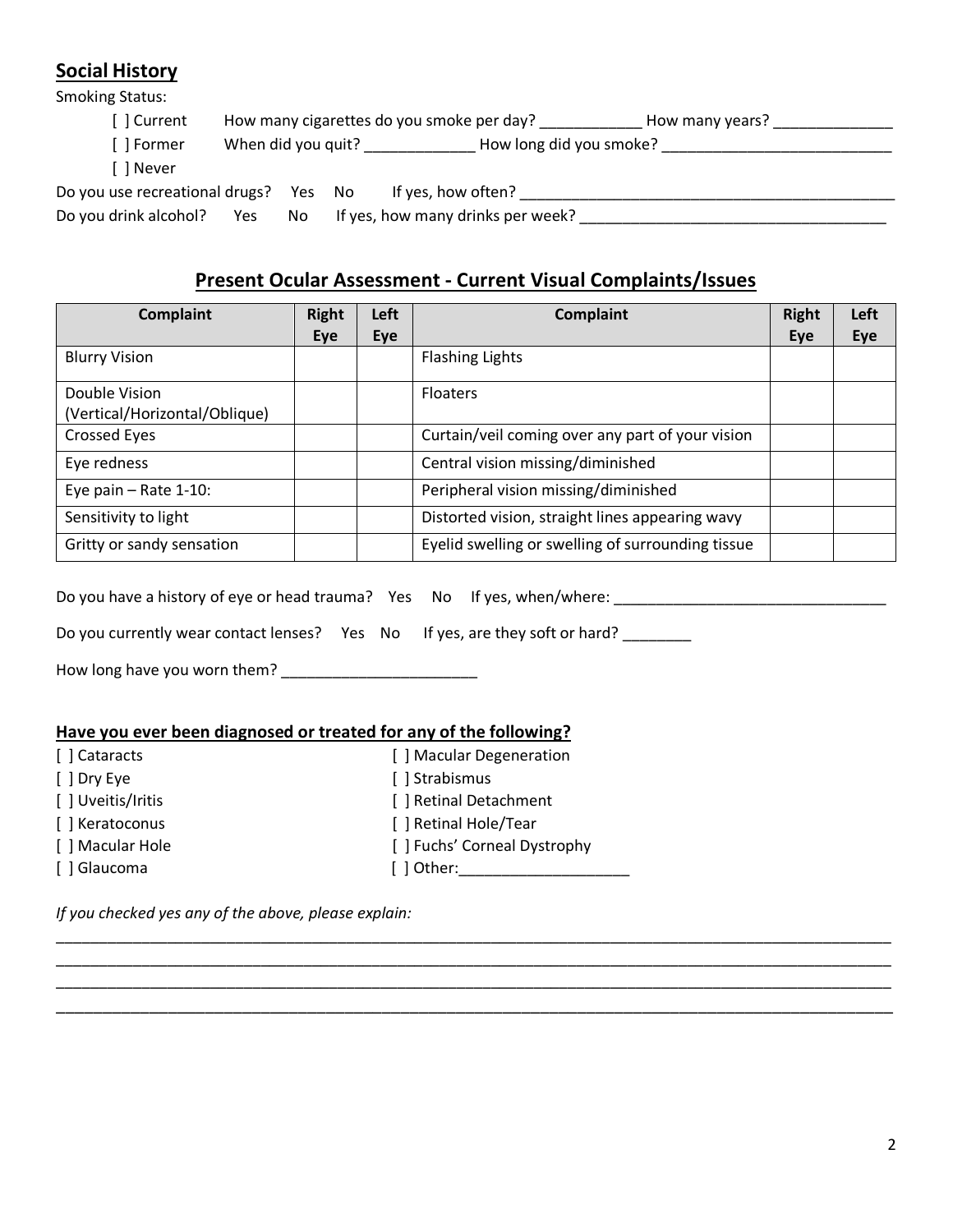## **Social History**

Smoking Status:

|                                       |                    |     | How many cigarettes do you smoke per day?<br>How many years? |
|---------------------------------------|--------------------|-----|--------------------------------------------------------------|
| [ ] Former                            | When did you quit? |     | How long did you smoke?                                      |
| 1 Never                               |                    |     |                                                              |
| Do you use recreational drugs? Yes No |                    |     | If yes, how often?                                           |
| Do you drink alcohol?                 | Yes                | No. | If yes, how many drinks per week?                            |

# **Present Ocular Assessment - Current Visual Complaints/Issues**

| <b>Complaint</b>              | <b>Right</b> | Left | <b>Complaint</b>                                  | <b>Right</b> | Left |
|-------------------------------|--------------|------|---------------------------------------------------|--------------|------|
|                               | Eye          | Eye  |                                                   | Eye          | Eye  |
| <b>Blurry Vision</b>          |              |      | <b>Flashing Lights</b>                            |              |      |
| Double Vision                 |              |      | <b>Floaters</b>                                   |              |      |
| (Vertical/Horizontal/Oblique) |              |      |                                                   |              |      |
| <b>Crossed Eyes</b>           |              |      | Curtain/veil coming over any part of your vision  |              |      |
| Eye redness                   |              |      | Central vision missing/diminished                 |              |      |
| Eye pain $-$ Rate 1-10:       |              |      | Peripheral vision missing/diminished              |              |      |
| Sensitivity to light          |              |      | Distorted vision, straight lines appearing wavy   |              |      |
| Gritty or sandy sensation     |              |      | Eyelid swelling or swelling of surrounding tissue |              |      |

\_\_\_\_\_\_\_\_\_\_\_\_\_\_\_\_\_\_\_\_\_\_\_\_\_\_\_\_\_\_\_\_\_\_\_\_\_\_\_\_\_\_\_\_\_\_\_\_\_\_\_\_\_\_\_\_\_\_\_\_\_\_\_\_\_\_\_\_\_\_\_\_\_\_\_\_\_\_\_\_\_\_\_\_\_\_\_\_\_\_\_\_\_\_\_\_\_\_ \_\_\_\_\_\_\_\_\_\_\_\_\_\_\_\_\_\_\_\_\_\_\_\_\_\_\_\_\_\_\_\_\_\_\_\_\_\_\_\_\_\_\_\_\_\_\_\_\_\_\_\_\_\_\_\_\_\_\_\_\_\_\_\_\_\_\_\_\_\_\_\_\_\_\_\_\_\_\_\_\_\_\_\_\_\_\_\_\_\_\_\_\_\_\_\_\_\_ \_\_\_\_\_\_\_\_\_\_\_\_\_\_\_\_\_\_\_\_\_\_\_\_\_\_\_\_\_\_\_\_\_\_\_\_\_\_\_\_\_\_\_\_\_\_\_\_\_\_\_\_\_\_\_\_\_\_\_\_\_\_\_\_\_\_\_\_\_\_\_\_\_\_\_\_\_\_\_\_\_\_\_\_\_\_\_\_\_\_\_\_\_\_\_\_\_\_ \_\_\_\_\_\_\_\_\_\_\_\_\_\_\_\_\_\_\_\_\_\_\_\_\_\_\_\_\_\_\_\_\_\_\_\_\_\_\_\_\_\_\_\_\_\_\_\_\_\_\_\_\_\_\_\_\_\_\_\_\_\_\_\_\_\_\_\_\_\_\_\_\_\_\_\_\_\_\_\_\_\_\_\_\_\_\_\_\_\_

| Do you have a history of eye or head trauma? Yes No If yes, when/where: |  |  |
|-------------------------------------------------------------------------|--|--|
|                                                                         |  |  |

Do you currently wear contact lenses? Yes No If yes, are they soft or hard? \_\_\_\_\_\_

How long have you worn them? \_\_\_\_\_\_\_\_\_\_\_\_\_\_\_\_\_\_\_\_\_\_\_

#### **Have you ever been diagnosed or treated for any of the following?**

| [ ] Cataracts      | [ ] Macular Degeneration     |
|--------------------|------------------------------|
| [ ] Dry Eye        | [ ] Strabismus               |
| [ ] Uveitis/Iritis | [ ] Retinal Detachment       |
| [ ] Keratoconus    | [ ] Retinal Hole/Tear        |
| [ ] Macular Hole   | [ ] Fuchs' Corneal Dystrophy |
| [ ] Glaucoma       | [ ] Other:                   |

*If you checked yes any of the above, please explain:*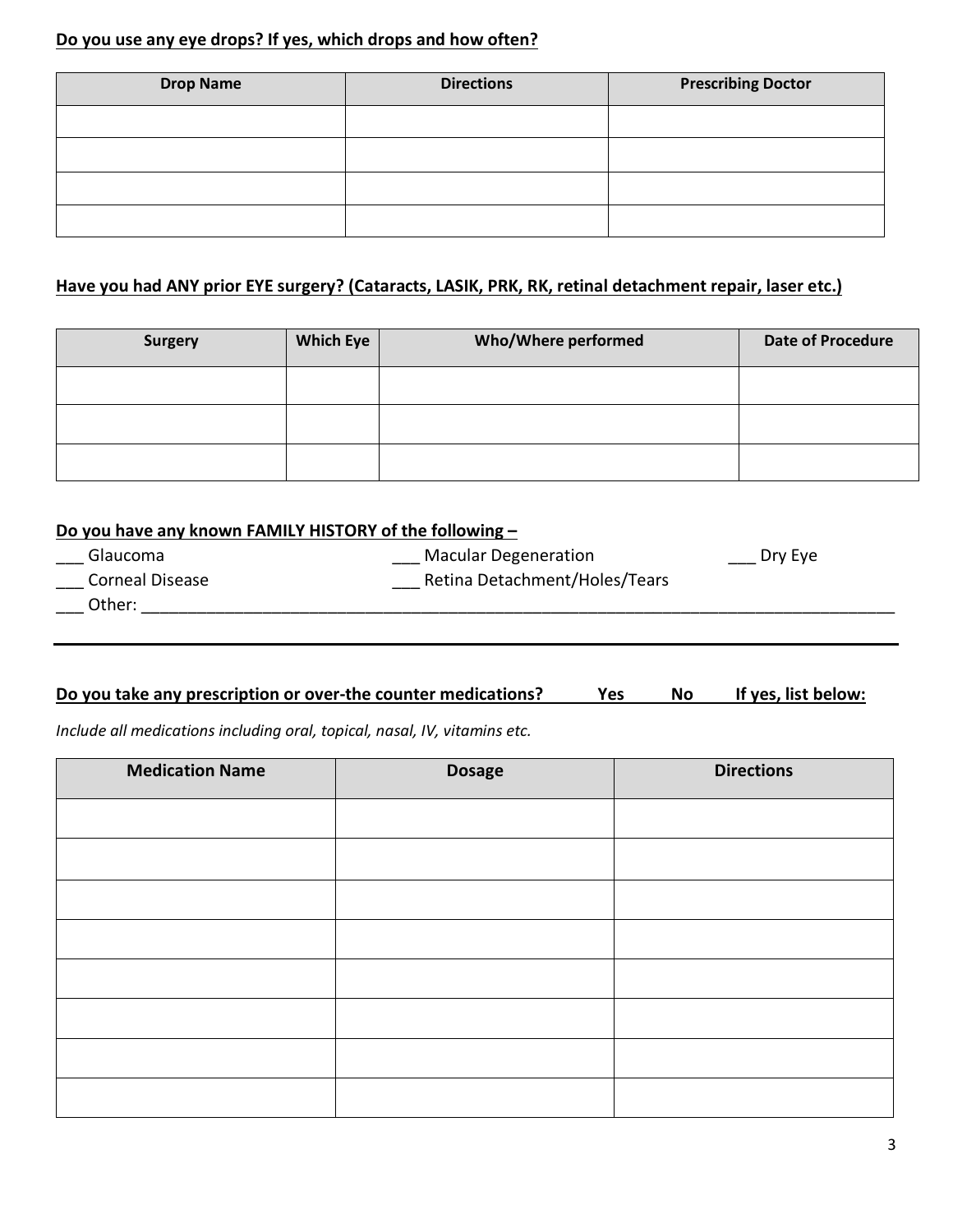### **Do you use any eye drops? If yes, which drops and how often?**

| <b>Drop Name</b> | <b>Directions</b> | <b>Prescribing Doctor</b> |
|------------------|-------------------|---------------------------|
|                  |                   |                           |
|                  |                   |                           |
|                  |                   |                           |
|                  |                   |                           |

### **Have you had ANY prior EYE surgery? (Cataracts, LASIK, PRK, RK, retinal detachment repair, laser etc.)**

| <b>Surgery</b> | <b>Which Eye</b> | Who/Where performed | <b>Date of Procedure</b> |
|----------------|------------------|---------------------|--------------------------|
|                |                  |                     |                          |
|                |                  |                     |                          |
|                |                  |                     |                          |

| Do you have any known FAMILY HISTORY of the following - |                               |         |
|---------------------------------------------------------|-------------------------------|---------|
| Glaucoma                                                | <b>Macular Degeneration</b>   | Dry Eye |
| <b>Corneal Disease</b>                                  | Retina Detachment/Holes/Tears |         |
| Other:                                                  |                               |         |

### Do you take any prescription or over-the counter medications? Yes No If yes, list below:

*Include all medications including oral, topical, nasal, IV, vitamins etc.*

| <b>Medication Name</b> | <b>Dosage</b> | <b>Directions</b> |
|------------------------|---------------|-------------------|
|                        |               |                   |
|                        |               |                   |
|                        |               |                   |
|                        |               |                   |
|                        |               |                   |
|                        |               |                   |
|                        |               |                   |
|                        |               |                   |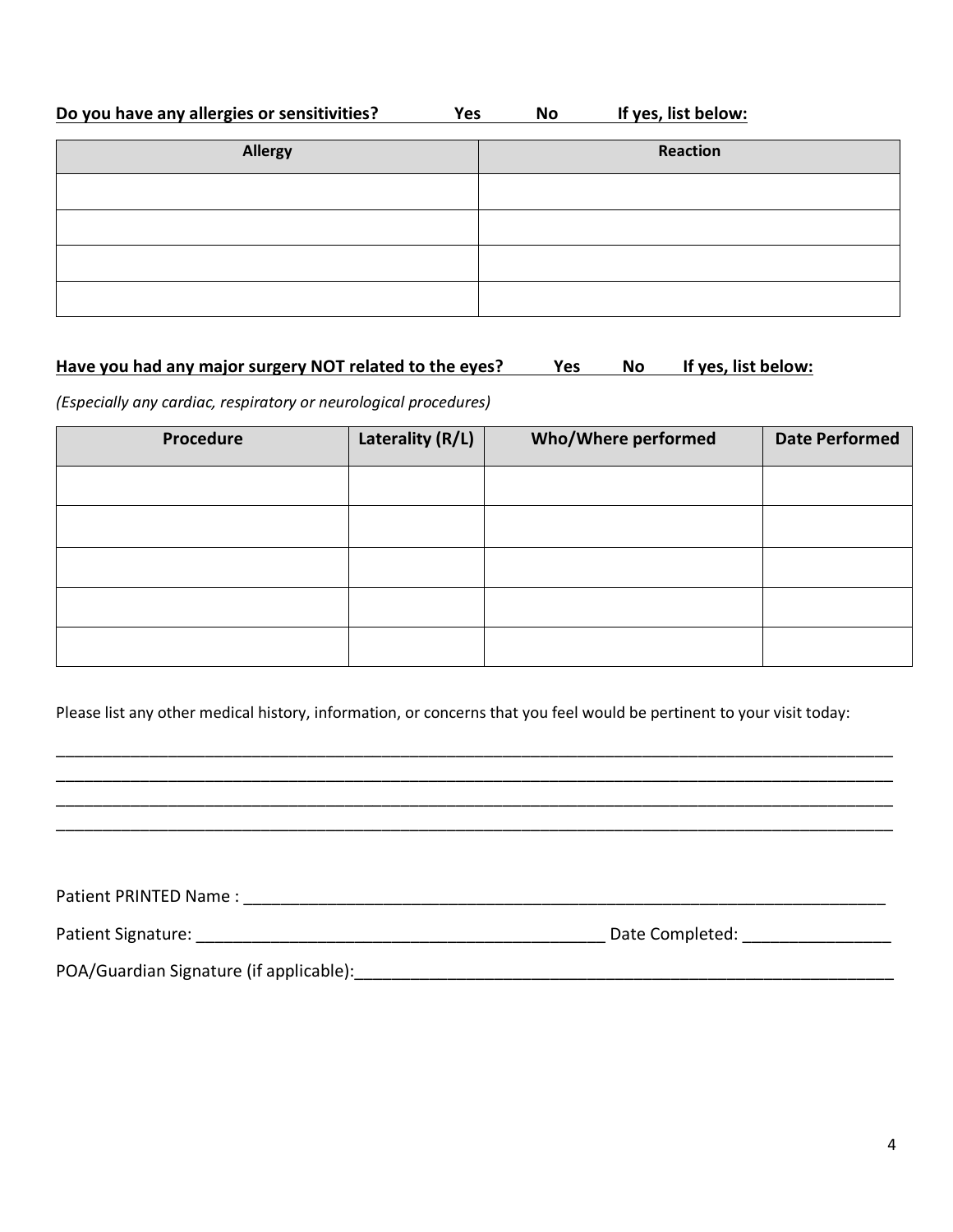## **Do you have any allergies or sensitivities?** Yes No If yes, list below:

| Allergy | Reaction |
|---------|----------|
|         |          |
|         |          |
|         |          |
|         |          |

#### Have you had any major surgery NOT related to the eyes? Yes No If yes, list below:

*(Especially any cardiac, respiratory or neurological procedures)*

| Procedure | Laterality (R/L) | <b>Who/Where performed</b> | <b>Date Performed</b> |
|-----------|------------------|----------------------------|-----------------------|
|           |                  |                            |                       |
|           |                  |                            |                       |
|           |                  |                            |                       |
|           |                  |                            |                       |
|           |                  |                            |                       |

Please list any other medical history, information, or concerns that you feel would be pertinent to your visit today:

\_\_\_\_\_\_\_\_\_\_\_\_\_\_\_\_\_\_\_\_\_\_\_\_\_\_\_\_\_\_\_\_\_\_\_\_\_\_\_\_\_\_\_\_\_\_\_\_\_\_\_\_\_\_\_\_\_\_\_\_\_\_\_\_\_\_\_\_\_\_\_\_\_\_\_\_\_\_\_\_\_\_\_\_\_\_\_\_\_\_ \_\_\_\_\_\_\_\_\_\_\_\_\_\_\_\_\_\_\_\_\_\_\_\_\_\_\_\_\_\_\_\_\_\_\_\_\_\_\_\_\_\_\_\_\_\_\_\_\_\_\_\_\_\_\_\_\_\_\_\_\_\_\_\_\_\_\_\_\_\_\_\_\_\_\_\_\_\_\_\_\_\_\_\_\_\_\_\_\_\_ \_\_\_\_\_\_\_\_\_\_\_\_\_\_\_\_\_\_\_\_\_\_\_\_\_\_\_\_\_\_\_\_\_\_\_\_\_\_\_\_\_\_\_\_\_\_\_\_\_\_\_\_\_\_\_\_\_\_\_\_\_\_\_\_\_\_\_\_\_\_\_\_\_\_\_\_\_\_\_\_\_\_\_\_\_\_\_\_\_\_ \_\_\_\_\_\_\_\_\_\_\_\_\_\_\_\_\_\_\_\_\_\_\_\_\_\_\_\_\_\_\_\_\_\_\_\_\_\_\_\_\_\_\_\_\_\_\_\_\_\_\_\_\_\_\_\_\_\_\_\_\_\_\_\_\_\_\_\_\_\_\_\_\_\_\_\_\_\_\_\_\_\_\_\_\_\_\_\_\_\_

| Patient PRINTED Name:                   |                 |  |
|-----------------------------------------|-----------------|--|
| Patient Signature:                      | Date Completed: |  |
| POA/Guardian Signature (if applicable): |                 |  |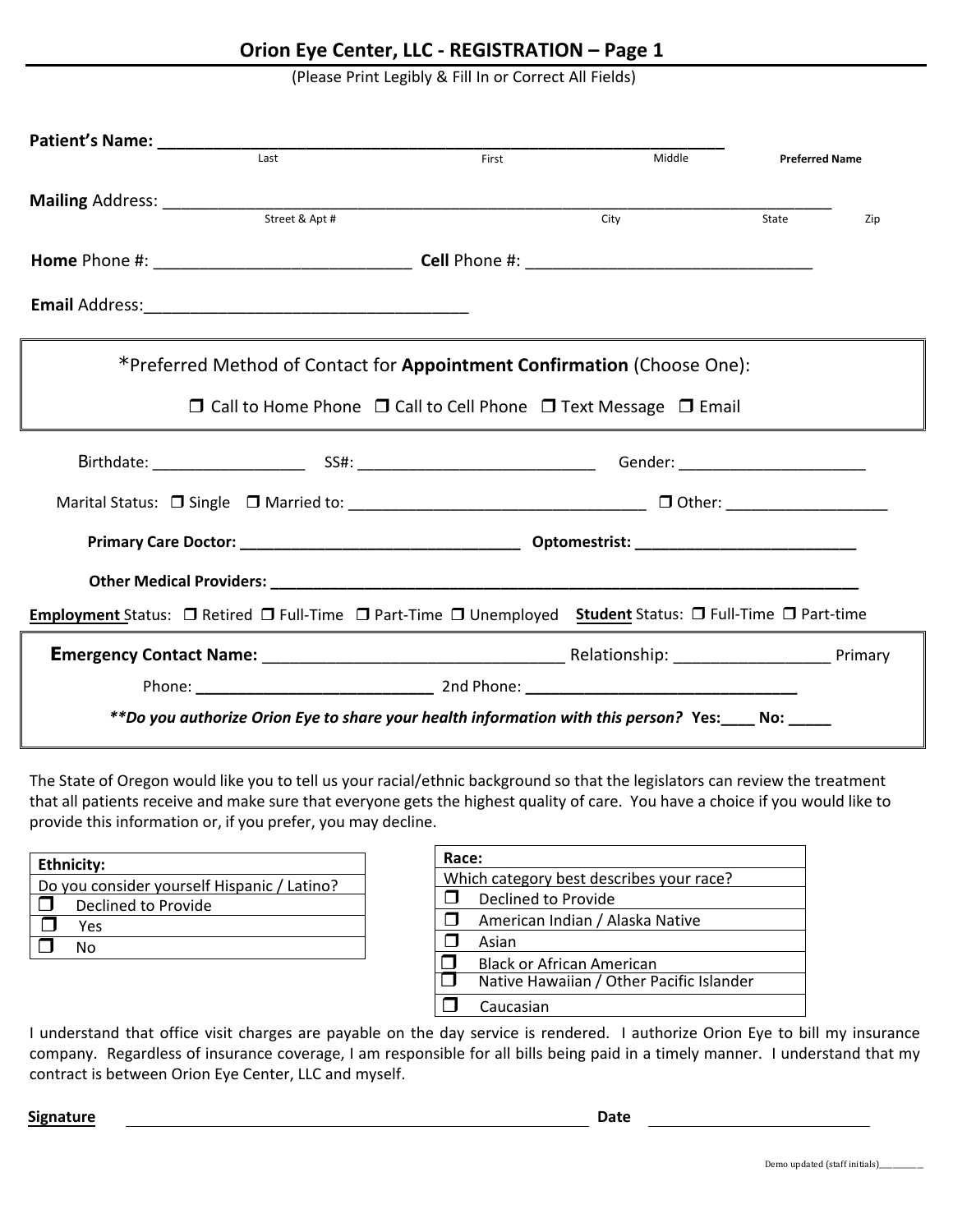## **Orion Eye Center, LLC - REGISTRATION – Page 1**

(Please Print Legibly & Fill In or Correct All Fields)

| Patient's Name: __________ | Last                                                                                                      | First | Middle | <b>Preferred Name</b> |     |
|----------------------------|-----------------------------------------------------------------------------------------------------------|-------|--------|-----------------------|-----|
|                            |                                                                                                           |       |        |                       |     |
|                            |                                                                                                           |       | City   | State                 | Zip |
|                            |                                                                                                           |       |        |                       |     |
|                            |                                                                                                           |       |        |                       |     |
|                            | *Preferred Method of Contact for <b>Appointment Confirmation</b> (Choose One):                            |       |        |                       |     |
|                            | $\Box$ Call to Home Phone $\Box$ Call to Cell Phone $\Box$ Text Message $\Box$ Email                      |       |        |                       |     |
|                            |                                                                                                           |       |        |                       |     |
|                            |                                                                                                           |       |        |                       |     |
|                            |                                                                                                           |       |        |                       |     |
|                            |                                                                                                           |       |        |                       |     |
|                            |                                                                                                           |       |        |                       |     |
|                            | Employment Status: O Retired O Full-Time O Part-Time O Unemployed Student Status: O Full-Time O Part-time |       |        |                       |     |
|                            |                                                                                                           |       |        |                       |     |

The State of Oregon would like you to tell us your racial/ethnic background so that the legislators can review the treatment that all patients receive and make sure that everyone gets the highest quality of care. You have a choice if you would like to provide this information or, if you prefer, you may decline.

| <b>Ethnicity:</b> |                                             |  |
|-------------------|---------------------------------------------|--|
|                   | Do you consider yourself Hispanic / Latino? |  |
|                   | Declined to Provide                         |  |
|                   | Yes                                         |  |
|                   | N٥                                          |  |

| Race:  |                                          |  |  |
|--------|------------------------------------------|--|--|
|        | Which category best describes your race? |  |  |
|        | Declined to Provide                      |  |  |
| $\Box$ | American Indian / Alaska Native          |  |  |
|        | Asian                                    |  |  |
|        | <b>Black or African American</b>         |  |  |
|        | Native Hawaiian / Other Pacific Islander |  |  |
|        | Caucasian                                |  |  |

I understand that office visit charges are payable on the day service is rendered. I authorize Orion Eye to bill my insurance company. Regardless of insurance coverage, I am responsible for all bills being paid in a timely manner. I understand that my contract is between Orion Eye Center, LLC and myself.

**Signature Date**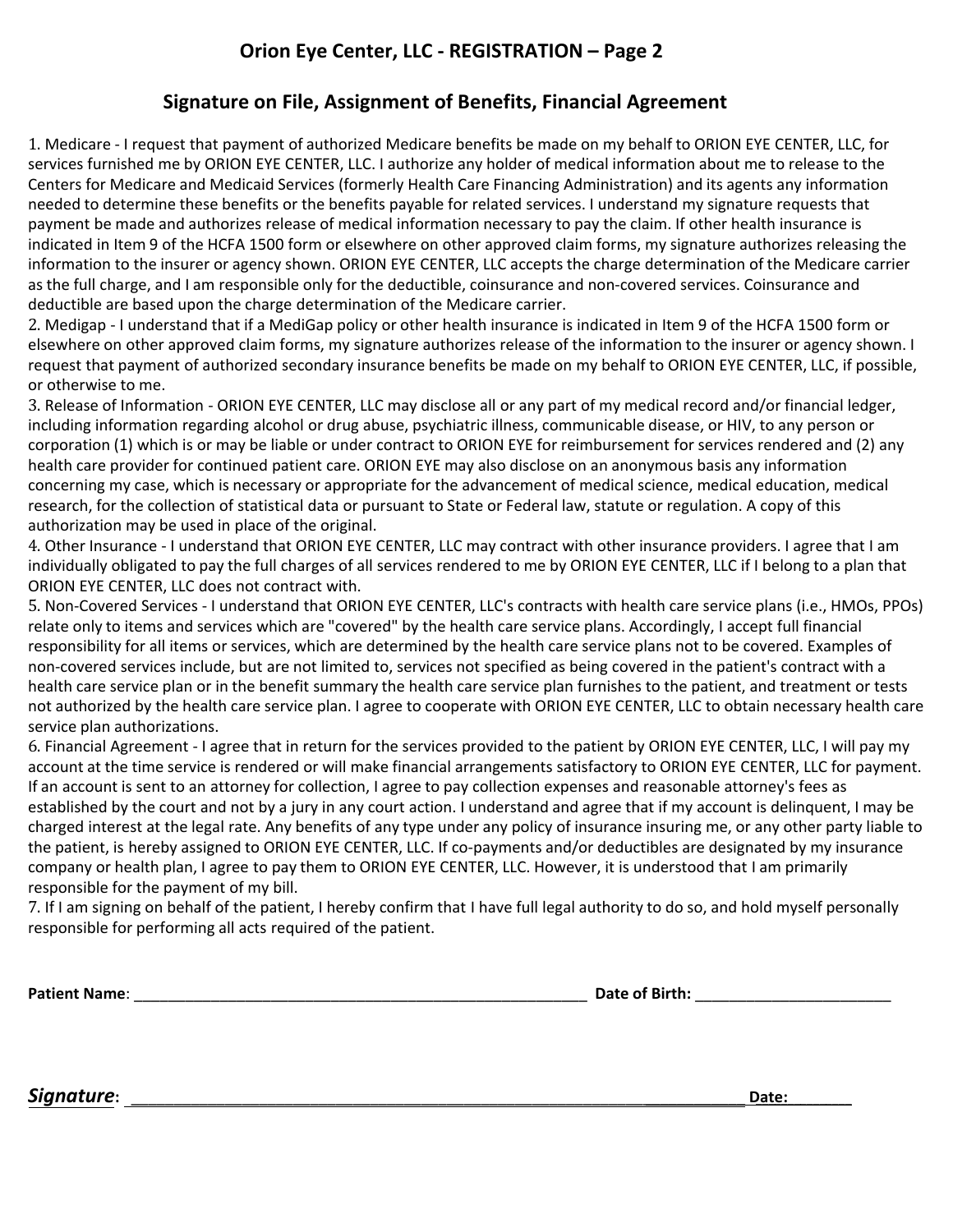## **Signature on File, Assignment of Benefits, Financial Agreement**

1. Medicare - I request that payment of authorized Medicare benefits be made on my behalf to ORION EYE CENTER, LLC, for services furnished me by ORION EYE CENTER, LLC. I authorize any holder of medical information about me to release to the Centers for Medicare and Medicaid Services (formerly Health Care Financing Administration) and its agents any information needed to determine these benefits or the benefits payable for related services. I understand my signature requests that payment be made and authorizes release of medical information necessary to pay the claim. If other health insurance is indicated in Item 9 of the HCFA 1500 form or elsewhere on other approved claim forms, my signature authorizes releasing the information to the insurer or agency shown. ORION EYE CENTER, LLC accepts the charge determination of the Medicare carrier as the full charge, and I am responsible only for the deductible, coinsurance and non-covered services. Coinsurance and deductible are based upon the charge determination of the Medicare carrier.

2. Medigap - I understand that if a MediGap policy or other health insurance is indicated in Item 9 of the HCFA 1500 form or elsewhere on other approved claim forms, my signature authorizes release of the information to the insurer or agency shown. I request that payment of authorized secondary insurance benefits be made on my behalf to ORION EYE CENTER, LLC, if possible, or otherwise to me.

3. Release of Information - ORION EYE CENTER, LLC may disclose all or any part of my medical record and/or financial ledger, including information regarding alcohol or drug abuse, psychiatric illness, communicable disease, or HIV, to any person or corporation (1) which is or may be liable or under contract to ORION EYE for reimbursement for services rendered and (2) any health care provider for continued patient care. ORION EYE may also disclose on an anonymous basis any information concerning my case, which is necessary or appropriate for the advancement of medical science, medical education, medical research, for the collection of statistical data or pursuant to State or Federal law, statute or regulation. A copy of this authorization may be used in place of the original.

4. Other Insurance - I understand that ORION EYE CENTER, LLC may contract with other insurance providers. I agree that I am individually obligated to pay the full charges of all services rendered to me by ORION EYE CENTER, LLC if I belong to a plan that ORION EYE CENTER, LLC does not contract with.

5. Non-Covered Services - I understand that ORION EYE CENTER, LLC's contracts with health care service plans (i.e., HMOs, PPOs) relate only to items and services which are "covered" by the health care service plans. Accordingly, I accept full financial responsibility for all items or services, which are determined by the health care service plans not to be covered. Examples of non-covered services include, but are not limited to, services not specified as being covered in the patient's contract with a health care service plan or in the benefit summary the health care service plan furnishes to the patient, and treatment or tests not authorized by the health care service plan. I agree to cooperate with ORION EYE CENTER, LLC to obtain necessary health care service plan authorizations.

6. Financial Agreement - I agree that in return for the services provided to the patient by ORION EYE CENTER, LLC, I will pay my account at the time service is rendered or will make financial arrangements satisfactory to ORION EYE CENTER, LLC for payment. If an account is sent to an attorney for collection, I agree to pay collection expenses and reasonable attorney's fees as established by the court and not by a jury in any court action. I understand and agree that if my account is delinquent, I may be charged interest at the legal rate. Any benefits of any type under any policy of insurance insuring me, or any other party liable to the patient, is hereby assigned to ORION EYE CENTER, LLC. If co-payments and/or deductibles are designated by my insurance company or health plan, I agree to pay them to ORION EYE CENTER, LLC. However, it is understood that I am primarily responsible for the payment of my bill.

7. If I am signing on behalf of the patient, I hereby confirm that I have full legal authority to do so, and hold myself personally responsible for performing all acts required of the patient.

**Patient Name**: \_\_\_\_\_\_\_\_\_\_\_\_\_\_\_\_\_\_\_\_\_\_\_\_\_\_\_\_\_\_\_\_\_\_\_\_\_\_\_\_\_\_\_\_\_\_\_\_\_\_\_\_\_ **Date of Birth:** \_\_\_\_\_\_\_\_\_\_\_\_\_\_\_\_\_\_\_\_\_\_\_

**Signature**: **Date: Date: Date: Date: Contract and Contract and**   $\mathbf{C}$  **Contract and**   $\mathbf{C}$  **Date:**  $\mathbf{D}$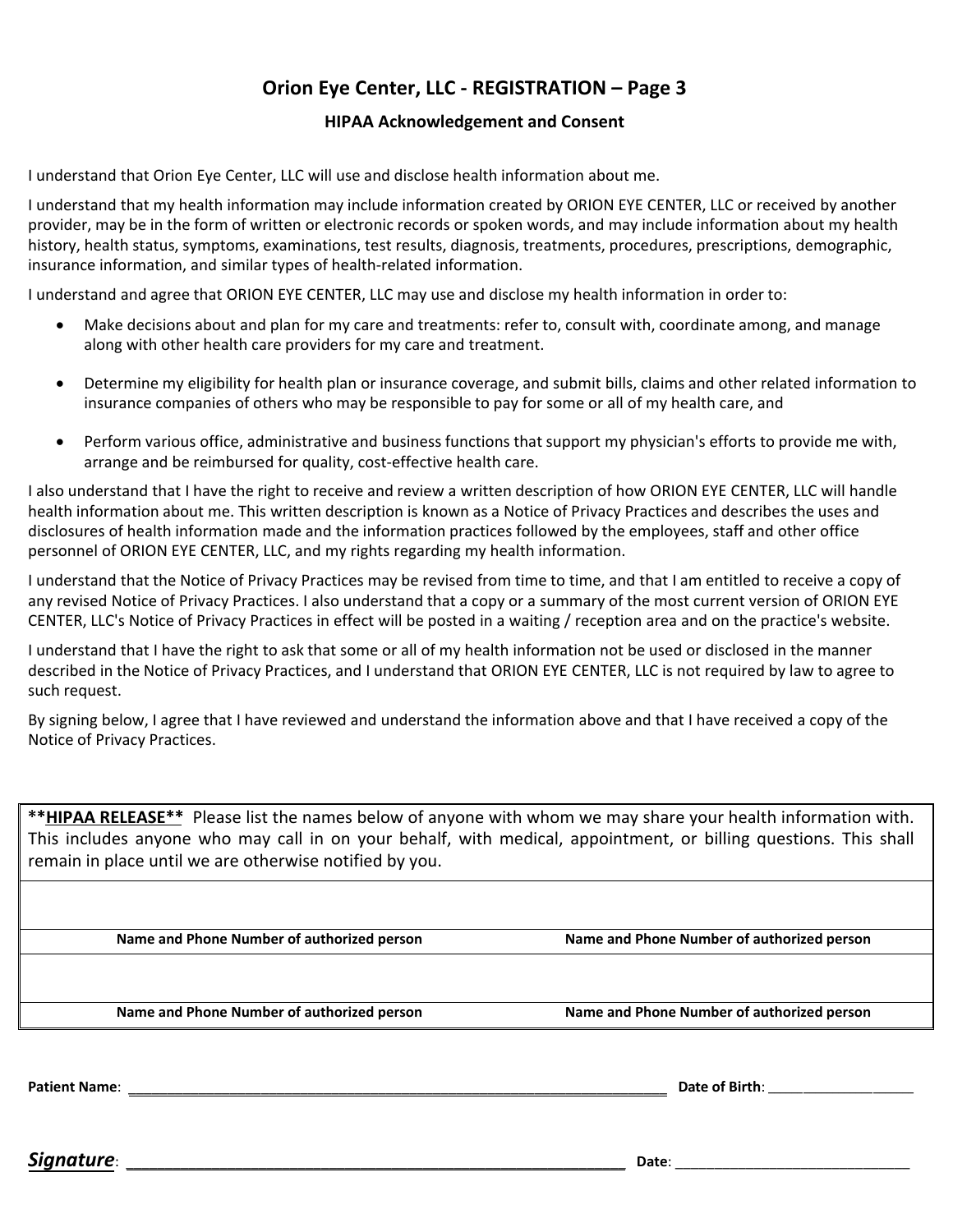## **Orion Eye Center, LLC - REGISTRATION – Page 3**

#### **HIPAA Acknowledgement and Consent**

I understand that Orion Eye Center, LLC will use and disclose health information about me.

I understand that my health information may include information created by ORION EYE CENTER, LLC or received by another provider, may be in the form of written or electronic records or spoken words, and may include information about my health history, health status, symptoms, examinations, test results, diagnosis, treatments, procedures, prescriptions, demographic, insurance information, and similar types of health-related information.

I understand and agree that ORION EYE CENTER, LLC may use and disclose my health information in order to:

- Make decisions about and plan for my care and treatments: refer to, consult with, coordinate among, and manage along with other health care providers for my care and treatment.
- Determine my eligibility for health plan or insurance coverage, and submit bills, claims and other related information to insurance companies of others who may be responsible to pay for some or all of my health care, and
- Perform various office, administrative and business functions that support my physician's efforts to provide me with, arrange and be reimbursed for quality, cost-effective health care.

I also understand that I have the right to receive and review a written description of how ORION EYE CENTER, LLC will handle health information about me. This written description is known as a Notice of Privacy Practices and describes the uses and disclosures of health information made and the information practices followed by the employees, staff and other office personnel of ORION EYE CENTER, LLC, and my rights regarding my health information.

I understand that the Notice of Privacy Practices may be revised from time to time, and that I am entitled to receive a copy of any revised Notice of Privacy Practices. I also understand that a copy or a summary of the most current version of ORION EYE CENTER, LLC's Notice of Privacy Practices in effect will be posted in a waiting / reception area and on the practice's website.

I understand that I have the right to ask that some or all of my health information not be used or disclosed in the manner described in the Notice of Privacy Practices, and I understand that ORION EYE CENTER, LLC is not required by law to agree to such request.

By signing below, I agree that I have reviewed and understand the information above and that I have received a copy of the Notice of Privacy Practices.

**\*\*HIPAA RELEASE\*\*** Please list the names below of anyone with whom we may share your health information with. This includes anyone who may call in on your behalf, with medical, appointment, or billing questions. This shall remain in place until we are otherwise notified by you.

**Name and Phone Number of authorized person Name and Phone Number of authorized person**

**Name and Phone Number of authorized person Name and Phone Number of authorized person**

**Patient Name**: \_\_\_\_\_\_\_\_\_\_\_\_\_\_\_\_\_\_\_\_\_\_\_\_\_\_\_\_\_\_\_\_\_\_\_\_\_\_\_\_\_\_\_\_\_\_\_\_\_\_\_\_\_\_\_\_\_\_\_\_\_\_\_\_\_\_\_\_\_ **Date of Birth**: \_\_\_\_\_\_\_\_\_\_\_\_\_\_\_\_\_\_\_\_\_\_\_\_\_

*Signature*: \_\_\_\_\_\_\_\_\_\_\_\_\_\_\_\_\_\_\_\_\_\_\_\_\_\_\_\_\_\_\_\_\_\_\_\_\_\_\_\_\_\_\_\_\_\_\_\_\_\_\_\_\_\_\_\_\_\_\_\_\_\_\_\_ **Date**: \_\_\_\_\_\_\_\_\_\_\_\_\_\_\_\_\_\_\_\_\_\_\_\_\_\_\_\_\_\_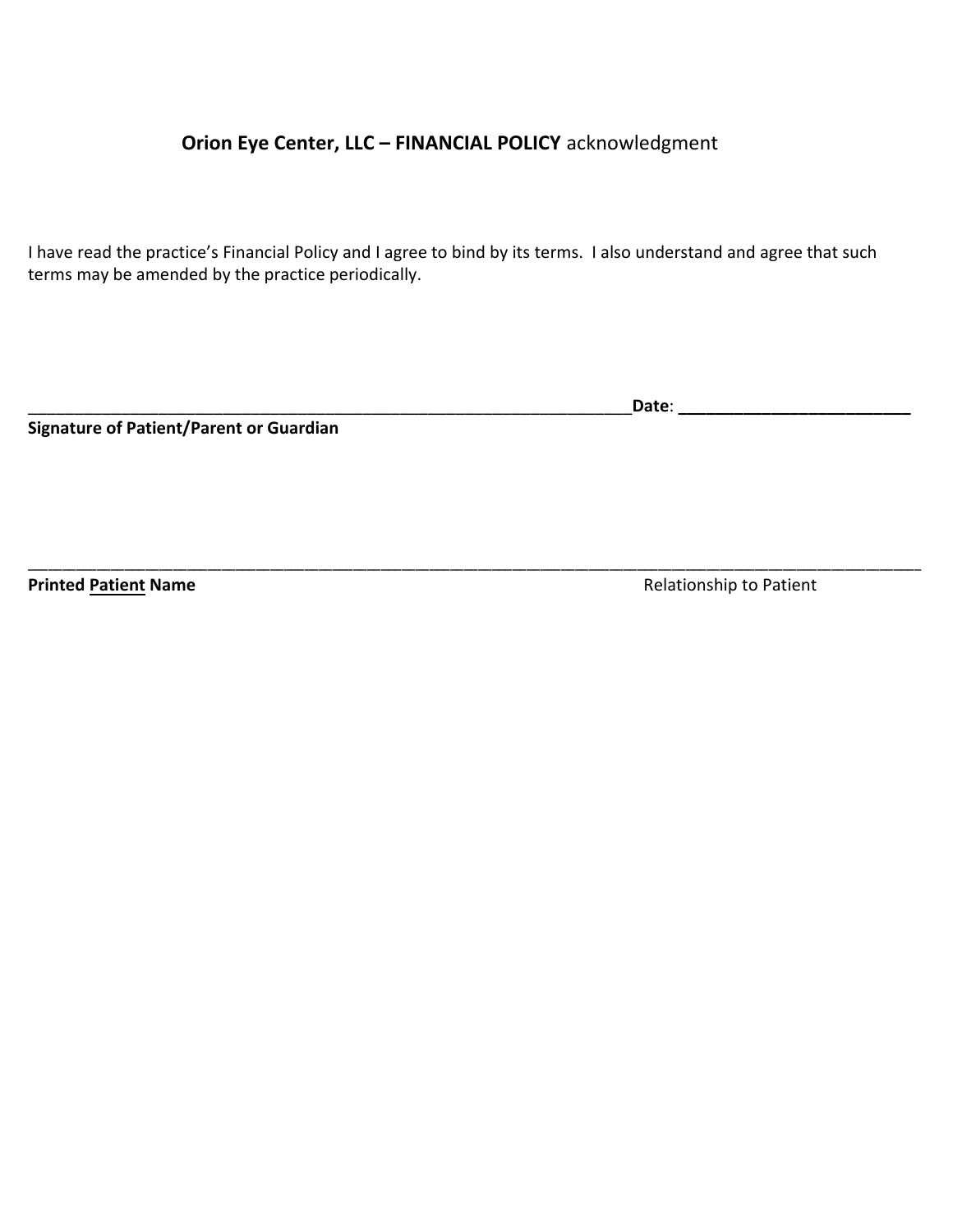## **Orion Eye Center, LLC – FINANCIAL POLICY** acknowledgment

I have read the practice's Financial Policy and I agree to bind by its terms. I also understand and agree that such terms may be amended by the practice periodically.

\_\_\_\_\_\_\_\_\_\_\_\_\_\_\_\_\_\_\_\_\_\_\_\_\_\_\_\_\_\_\_\_\_\_\_\_\_\_\_\_\_\_\_\_\_\_\_\_\_\_\_\_\_\_\_\_\_\_\_\_\_\_\_\_\_\_\_\_\_\_\_\_\_\_\_\_\_\_\_\_\_\_\_\_\_\_\_\_\_\_\_\_\_\_\_\_\_\_\_\_\_\_\_\_\_\_\_\_\_\_\_\_\_\_\_\_\_\_\_\_\_\_\_\_\_\_\_\_\_

**Signature of Patient/Parent or Guardian** 

\_\_\_\_\_\_\_\_\_\_\_\_\_\_\_\_\_\_\_\_\_\_\_\_\_\_\_\_\_\_\_\_\_\_\_\_\_\_\_\_\_\_\_\_\_\_\_\_\_\_\_\_\_\_\_\_\_\_\_\_\_\_\_\_\_**Date**: **\_\_\_\_\_\_\_\_\_\_\_\_\_\_\_\_\_\_\_\_\_\_\_\_\_**

**Printed Patient Name Printed Patient Name Relationship to Patient**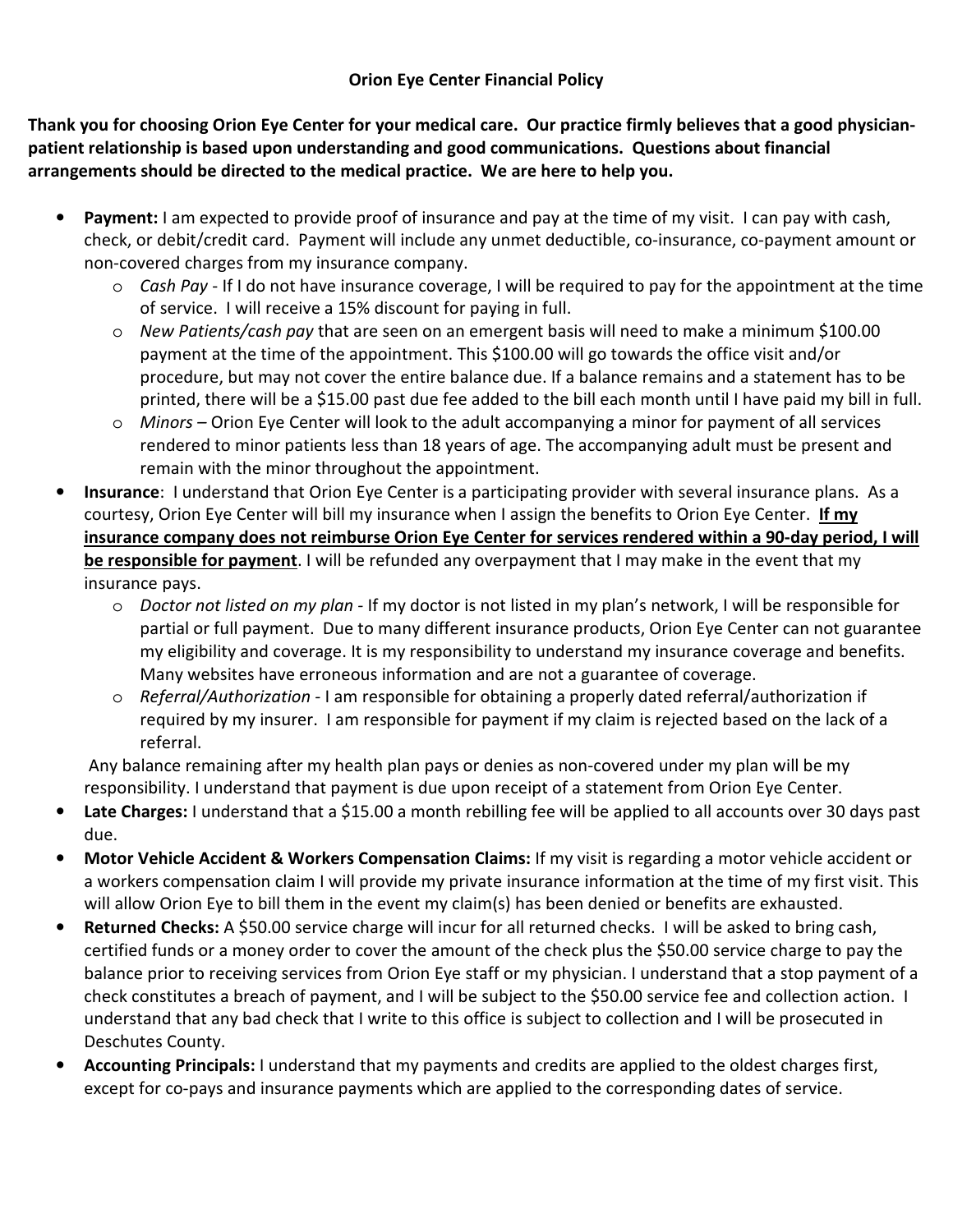### **Orion Eye Center Financial Policy**

**Thank you for choosing Orion Eye Center for your medical care. Our practice firmly believes that a good physicianpatient relationship is based upon understanding and good communications. Questions about financial arrangements should be directed to the medical practice. We are here to help you.** 

- **Payment:** I am expected to provide proof of insurance and pay at the time of my visit. I can pay with cash, check, or debit/credit card. Payment will include any unmet deductible, co-insurance, co-payment amount or non-covered charges from my insurance company.
	- o *Cash Pay*  If I do not have insurance coverage, I will be required to pay for the appointment at the time of service. I will receive a 15% discount for paying in full.
	- o *New Patients/cash pay* that are seen on an emergent basis will need to make a minimum \$100.00 payment at the time of the appointment. This \$100.00 will go towards the office visit and/or procedure, but may not cover the entire balance due. If a balance remains and a statement has to be printed, there will be a \$15.00 past due fee added to the bill each month until I have paid my bill in full.
	- o *Minors –* Orion Eye Center will look to the adult accompanying a minor for payment of all services rendered to minor patients less than 18 years of age. The accompanying adult must be present and remain with the minor throughout the appointment.
- **Insurance**: I understand that Orion Eye Center is a participating provider with several insurance plans. As a courtesy, Orion Eye Center will bill my insurance when I assign the benefits to Orion Eye Center. **If my insurance company does not reimburse Orion Eye Center for services rendered within a 90-day period, I will be responsible for payment**. I will be refunded any overpayment that I may make in the event that my insurance pays.
	- o *Doctor not listed on my plan -* If my doctor is not listed in my plan's network, I will be responsible for partial or full payment. Due to many different insurance products, Orion Eye Center can not guarantee my eligibility and coverage. It is my responsibility to understand my insurance coverage and benefits. Many websites have erroneous information and are not a guarantee of coverage.
	- o *Referral/Authorization -* I am responsible for obtaining a properly dated referral/authorization if required by my insurer. I am responsible for payment if my claim is rejected based on the lack of a referral.

Any balance remaining after my health plan pays or denies as non-covered under my plan will be my responsibility. I understand that payment is due upon receipt of a statement from Orion Eye Center.

- Late Charges: I understand that a \$15.00 a month rebilling fee will be applied to all accounts over 30 days past due.
- **Motor Vehicle Accident & Workers Compensation Claims:** If my visit is regarding a motor vehicle accident or a workers compensation claim I will provide my private insurance information at the time of my first visit. This will allow Orion Eye to bill them in the event my claim(s) has been denied or benefits are exhausted.
- **Returned Checks:** A \$50.00 service charge will incur for all returned checks. I will be asked to bring cash, certified funds or a money order to cover the amount of the check plus the \$50.00 service charge to pay the balance prior to receiving services from Orion Eye staff or my physician. I understand that a stop payment of a check constitutes a breach of payment, and I will be subject to the \$50.00 service fee and collection action. I understand that any bad check that I write to this office is subject to collection and I will be prosecuted in Deschutes County.
- **Accounting Principals:** I understand that my payments and credits are applied to the oldest charges first, except for co-pays and insurance payments which are applied to the corresponding dates of service.